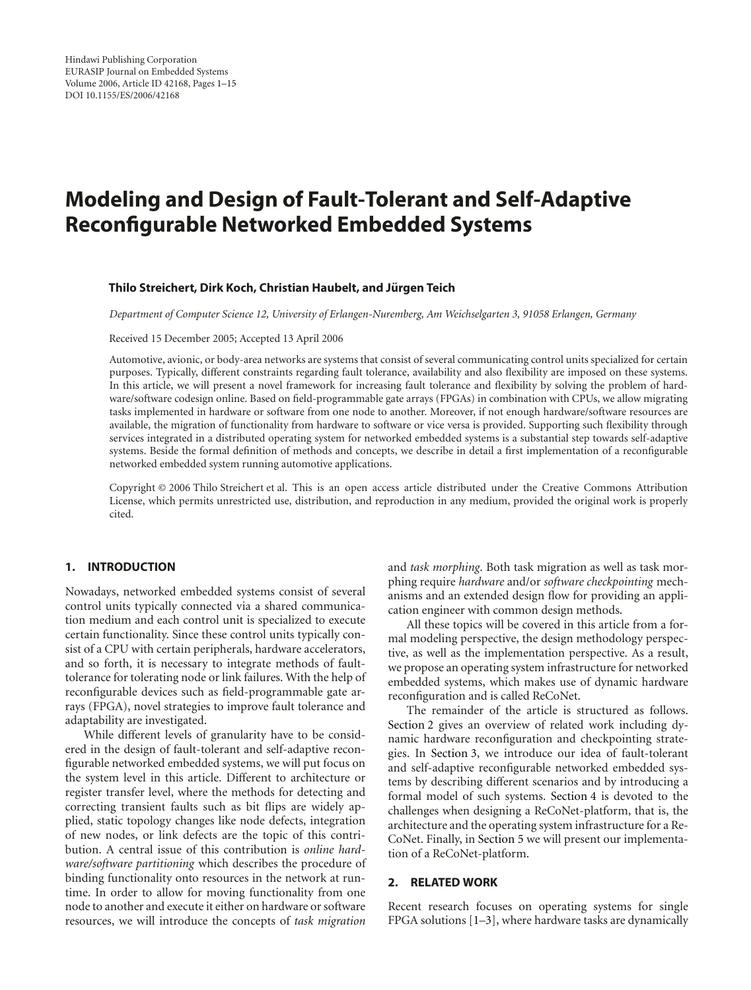# **Modeling and Design of Fault-Tolerant and Self-Adaptive Reconfigurable Networked Embedded Systems**

#### **Thilo Streichert, Dirk Koch, Christian Haubelt, and Jurgen Teich ¨**

*Department of Computer Science 12, University of Erlangen-Nuremberg, Am Weichselgarten 3, 91058 Erlangen, Germany*

Received 15 December 2005; Accepted 13 April 2006

Automotive, avionic, or body-area networks are systems that consist of several communicating control units specialized for certain purposes. Typically, different constraints regarding fault tolerance, availability and also flexibility are imposed on these systems. In this article, we will present a novel framework for increasing fault tolerance and flexibility by solving the problem of hardware/software codesign online. Based on field-programmable gate arrays (FPGAs) in combination with CPUs, we allow migrating tasks implemented in hardware or software from one node to another. Moreover, if not enough hardware/software resources are available, the migration of functionality from hardware to software or vice versa is provided. Supporting such flexibility through services integrated in a distributed operating system for networked embedded systems is a substantial step towards self-adaptive systems. Beside the formal definition of methods and concepts, we describe in detail a first implementation of a reconfigurable networked embedded system running automotive applications.

Copyright © 2006 Thilo Streichert et al. This is an open access article distributed under the Creative Commons Attribution License, which permits unrestricted use, distribution, and reproduction in any medium, provided the original work is properly cited.

## **1. INTRODUCTION**

Nowadays, networked embedded systems consist of several control units typically connected via a shared communication medium and each control unit is specialized to execute certain functionality. Since these control units typically consist of a CPU with certain peripherals, hardware accelerators, and so forth, it is necessary to integrate methods of faulttolerance for tolerating node or link failures. With the help of reconfigurable devices such as field-programmable gate arrays (FPGA), novel strategies to improve fault tolerance and adaptability are investigated.

While different levels of granularity have to be considered in the design of fault-tolerant and self-adaptive reconfigurable networked embedded systems, we will put focus on the system level in this article. Different to architecture or register transfer level, where the methods for detecting and correcting transient faults such as bit flips are widely applied, static topology changes like node defects, integration of new nodes, or link defects are the topic of this contribution. A central issue of this contribution is *online hardware/software partitioning* which describes the procedure of binding functionality onto resources in the network at runtime. In order to allow for moving functionality from one node to another and execute it either on hardware or software resources, we will introduce the concepts of *task migration*

and *task morphing*. Both task migration as well as task morphing require *hardware* and/or *software checkpointing* mechanisms and an extended design flow for providing an application engineer with common design methods.

All these topics will be covered in this article from a formal modeling perspective, the design methodology perspective, as well as the implementation perspective. As a result, we propose an operating system infrastructure for networked embedded systems, which makes use of dynamic hardware reconfiguration and is called ReCoNet.

The remainder of the article is structured as follows. [Section 2](#page-0-0) gives an overview of related work including dynamic hardware reconfiguration and checkpointing strategies. In [Section 3,](#page-1-0) we introduce our idea of fault-tolerant and self-adaptive reconfigurable networked embedded systems by describing different scenarios and by introducing a formal model of such systems. [Section 4](#page-7-0) is devoted to the challenges when designing a ReCoNet-platform, that is, the architecture and the operating system infrastructure for a Re-CoNet. Finally, in [Section 5](#page-11-0) we will present our implementation of a ReCoNet-platform.

# <span id="page-0-0"></span>**2. RELATED WORK**

Recent research focuses on operating systems for single FPGA solutions [\[1](#page-13-1)[–3\]](#page-13-2), where hardware tasks are dynamically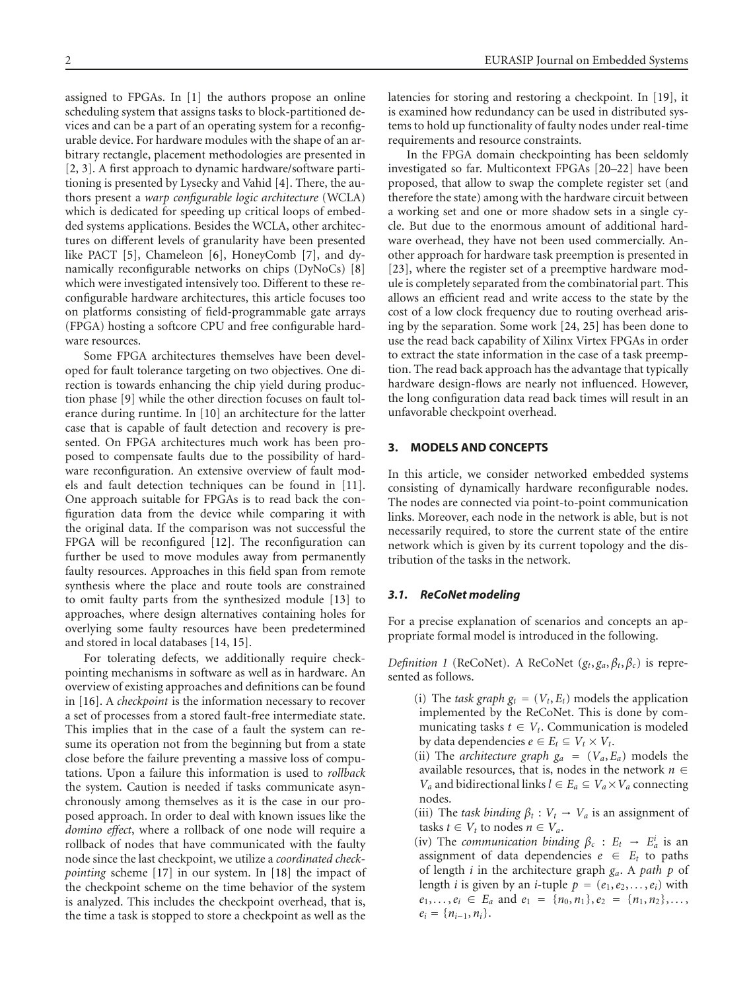assigned to FPGAs. In [\[1\]](#page-13-1) the authors propose an online scheduling system that assigns tasks to block-partitioned devices and can be a part of an operating system for a reconfigurable device. For hardware modules with the shape of an arbitrary rectangle, placement methodologies are presented in [\[2,](#page-13-3) [3](#page-13-2)]. A first approach to dynamic hardware/software partitioning is presented by Lysecky and Vahid [\[4\]](#page-13-4). There, the authors present a *warp configurable logic architecture* (WCLA) which is dedicated for speeding up critical loops of embedded systems applications. Besides the WCLA, other architectures on different levels of granularity have been presented like PACT [\[5](#page-13-5)], Chameleon [\[6](#page-13-6)], HoneyComb [\[7\]](#page-13-7), and dynamically reconfigurable networks on chips (DyNoCs) [\[8\]](#page-13-8) which were investigated intensively too. Different to these reconfigurable hardware architectures, this article focuses too on platforms consisting of field-programmable gate arrays (FPGA) hosting a softcore CPU and free configurable hardware resources.

Some FPGA architectures themselves have been developed for fault tolerance targeting on two objectives. One direction is towards enhancing the chip yield during production phase [\[9\]](#page-13-9) while the other direction focuses on fault tolerance during runtime. In [\[10\]](#page-13-10) an architecture for the latter case that is capable of fault detection and recovery is presented. On FPGA architectures much work has been proposed to compensate faults due to the possibility of hardware reconfiguration. An extensive overview of fault models and fault detection techniques can be found in [\[11](#page-13-11)]. One approach suitable for FPGAs is to read back the configuration data from the device while comparing it with the original data. If the comparison was not successful the FPGA will be reconfigured [\[12](#page-13-12)]. The reconfiguration can further be used to move modules away from permanently faulty resources. Approaches in this field span from remote synthesis where the place and route tools are constrained to omit faulty parts from the synthesized module [\[13](#page-13-13)] to approaches, where design alternatives containing holes for overlying some faulty resources have been predetermined and stored in local databases [\[14](#page-13-14), [15](#page-13-15)].

For tolerating defects, we additionally require checkpointing mechanisms in software as well as in hardware. An overview of existing approaches and definitions can be found in [\[16\]](#page-13-16). A *checkpoint* is the information necessary to recover a set of processes from a stored fault-free intermediate state. This implies that in the case of a fault the system can resume its operation not from the beginning but from a state close before the failure preventing a massive loss of computations. Upon a failure this information is used to *rollback* the system. Caution is needed if tasks communicate asynchronously among themselves as it is the case in our proposed approach. In order to deal with known issues like the *domino effect*, where a rollback of one node will require a rollback of nodes that have communicated with the faulty node since the last checkpoint, we utilize a *coordinated checkpointing* scheme [\[17\]](#page-13-17) in our system. In [\[18\]](#page-13-18) the impact of the checkpoint scheme on the time behavior of the system is analyzed. This includes the checkpoint overhead, that is, the time a task is stopped to store a checkpoint as well as the

latencies for storing and restoring a checkpoint. In [\[19\]](#page-13-19), it is examined how redundancy can be used in distributed systems to hold up functionality of faulty nodes under real-time requirements and resource constraints.

In the FPGA domain checkpointing has been seldomly investigated so far. Multicontext FPGAs [\[20](#page-13-20)[–22\]](#page-13-21) have been proposed, that allow to swap the complete register set (and therefore the state) among with the hardware circuit between a working set and one or more shadow sets in a single cycle. But due to the enormous amount of additional hardware overhead, they have not been used commercially. Another approach for hardware task preemption is presented in [\[23](#page-13-22)], where the register set of a preemptive hardware module is completely separated from the combinatorial part. This allows an efficient read and write access to the state by the cost of a low clock frequency due to routing overhead arising by the separation. Some work [\[24,](#page-13-23) [25\]](#page-13-24) has been done to use the read back capability of Xilinx Virtex FPGAs in order to extract the state information in the case of a task preemption. The read back approach has the advantage that typically hardware design-flows are nearly not influenced. However, the long configuration data read back times will result in an unfavorable checkpoint overhead.

# <span id="page-1-0"></span>**3. MODELS AND CONCEPTS**

In this article, we consider networked embedded systems consisting of dynamically hardware reconfigurable nodes. The nodes are connected via point-to-point communication links. Moreover, each node in the network is able, but is not necessarily required, to store the current state of the entire network which is given by its current topology and the distribution of the tasks in the network.

## *3.1. ReCoNet modeling*

For a precise explanation of scenarios and concepts an appropriate formal model is introduced in the following.

*Definition 1* (ReCoNet). A ReCoNet  $(g_t, g_a, \beta_t, \beta_c)$  is represented as follows.

- (i) The *task graph*  $g_t = (V_t, E_t)$  models the application implemented by the ReCoNet. This is done by communicating tasks  $t \in V_t$ . Communication is modeled by data dependencies  $e \in E_t \subseteq V_t \times V_t$ .
- (ii) The *architecture graph*  $g_a = (V_a, E_a)$  models the available resources, that is, nodes in the network  $n \in$ *V<sub>a</sub>* and bidirectional links  $l \in E_a \subseteq V_a \times V_a$  connecting nodes.
- (iii) The *task binding*  $\beta_t$ :  $V_t \rightarrow V_a$  is an assignment of tasks  $t \in V_t$  to nodes  $n \in V_a$ .
- (iv) The *communication binding*  $\beta_c$  :  $E_t \rightarrow E_a^i$  is an assignment of data dependencies  $e \in E_t$  to paths of length *i* in the architecture graph *ga*. A *path p* of length *i* is given by an *i*-tuple  $p = (e_1, e_2, \dots, e_i)$  with  $e_1, \ldots, e_i \in E_a$  and  $e_1 = \{n_0, n_1\}, e_2 = \{n_1, n_2\}, \ldots$  $e_i = \{n_{i-1}, n_i\}.$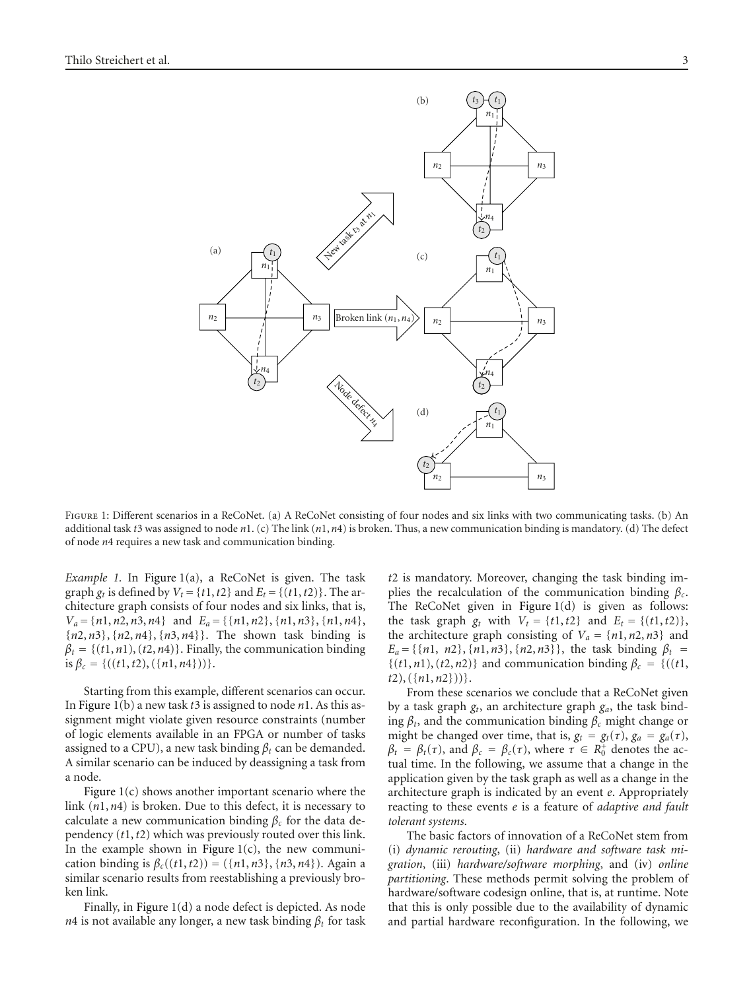

<span id="page-2-0"></span>FIGURE 1: Different scenarios in a ReCoNet. (a) A ReCoNet consisting of four nodes and six links with two communicating tasks. (b) An additional task *t*3 was assigned to node *n*1. (c) The link (*n*1, *n*4) is broken. Thus, a new communication binding is mandatory. (d) The defect of node *n*4 requires a new task and communication binding.

*Example 1.* In [Figure 1\(](#page-2-0)a), a ReCoNet is given. The task graph  $g_t$  is defined by  $V_t = \{t1, t2\}$  and  $E_t = \{(t1, t2)\}\$ . The architecture graph consists of four nodes and six links, that is,  $V_a = \{n1, n2, n3, n4\}$  and  $E_a = \{\{n1, n2\}, \{n1, n3\}, \{n1, n4\},\}$ {*n*2, *n*3}, {*n*2, *n*4}, {*n*3, *n*4}}. The shown task binding is  $\beta_t = \{(t1, n1), (t2, n4)\}.$  Finally, the communication binding  $is \beta_c = \{((t1, t2), (\{n1, n4\})).\}.$ 

Starting from this example, different scenarios can occur. In [Figure 1\(](#page-2-0)b) a new task *t*3 is assigned to node *n*1. As this assignment might violate given resource constraints (number of logic elements available in an FPGA or number of tasks assigned to a CPU), a new task binding  $\beta_t$  can be demanded. A similar scenario can be induced by deassigning a task from a node.

Figure  $1(c)$  shows another important scenario where the link (*n*1, *n*4) is broken. Due to this defect, it is necessary to calculate a new communication binding  $\beta_c$  for the data dependency (*t*1,*t*2) which was previously routed over this link. In the example shown in Figure  $1(c)$ , the new communication binding is  $\beta_c((t_1, t_2)) = (\{n_1, n_3\}, \{n_3, n_4\})$ . Again a similar scenario results from reestablishing a previously broken link.

Finally, in [Figure 1\(](#page-2-0)d) a node defect is depicted. As node *n*4 is not available any longer, a new task binding  $\beta_t$  for task

*t*2 is mandatory. Moreover, changing the task binding implies the recalculation of the communication binding *βc*. The ReCoNet given in [Figure 1\(](#page-2-0)d) is given as follows: the task graph  $g_t$  with  $V_t = \{t1, t2\}$  and  $E_t = \{(t1, t2)\},\$ the architecture graph consisting of  $V_a = \{n1, n2, n3\}$  and  $E_a = \{\{n1, n2\}, \{n1, n3\}, \{n2, n3\}\},\$  the task binding  $\beta_t =$  $\{(t1, n1), (t2, n2)\}\$  and communication binding  $\beta_c = \{((t1, n2))\}$ *t*2), ({*n*1, *n*2}))}.

From these scenarios we conclude that a ReCoNet given by a task graph *gt*, an architecture graph *ga*, the task binding *βt*, and the communication binding *βc* might change or might be changed over time, that is,  $g_t = g_t(\tau)$ ,  $g_a = g_a(\tau)$ ,  $\beta_t = \beta_t(\tau)$ , and  $\beta_c = \beta_c(\tau)$ , where  $\tau \in R_0^+$  denotes the actual time. In the following, we assume that a change in the application given by the task graph as well as a change in the architecture graph is indicated by an event *e*. Appropriately reacting to these events *e* is a feature of *adaptive and fault tolerant systems*.

The basic factors of innovation of a ReCoNet stem from (i) *dynamic rerouting*, (ii) *hardware and software task migration*, (iii) *hardware/software morphing*, and (iv) *online partitioning*. These methods permit solving the problem of hardware/software codesign online, that is, at runtime. Note that this is only possible due to the availability of dynamic and partial hardware reconfiguration. In the following, we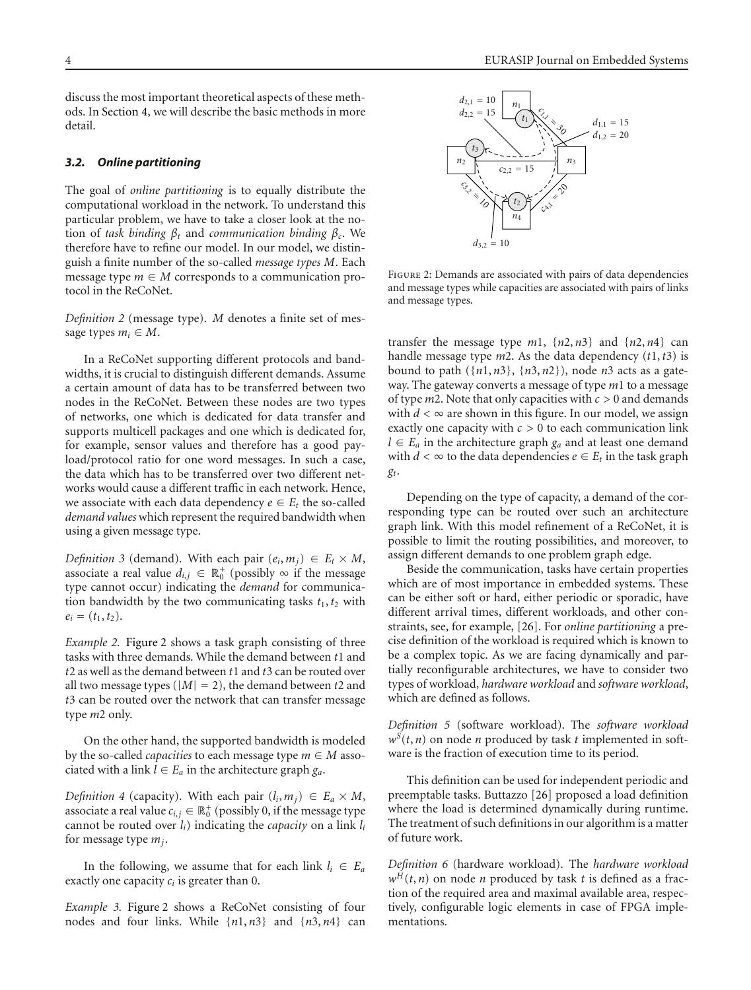discuss the most important theoretical aspects of these methods. In [Section 4,](#page-7-0) we will describe the basic methods in more detail.

#### *3.2. Online partitioning*

The goal of *online partitioning* is to equally distribute the computational workload in the network. To understand this particular problem, we have to take a closer look at the notion of *task binding*  $β_t$  and *communication binding*  $β_c$ . We therefore have to refine our model. In our model, we distinguish a finite number of the so-called *message types M*. Each message type  $m \in M$  corresponds to a communication protocol in the ReCoNet.

*Definition 2* (message type). *M* denotes a finite set of message types  $m_i \in M$ .

In a ReCoNet supporting different protocols and bandwidths, it is crucial to distinguish different demands. Assume a certain amount of data has to be transferred between two nodes in the ReCoNet. Between these nodes are two types of networks, one which is dedicated for data transfer and supports multicell packages and one which is dedicated for, for example, sensor values and therefore has a good payload/protocol ratio for one word messages. In such a case, the data which has to be transferred over two different networks would cause a different traffic in each network. Hence, we associate with each data dependency  $e \in E_t$  the so-called *demand values* which represent the required bandwidth when using a given message type.

*Definition 3* (demand). With each pair  $(e_i, m_j) \in E_t \times M$ , associate a real value  $d_{i,j} \in \mathbb{R}_0^+$  (possibly  $\infty$  if the message type cannot occur) indicating the *demand* for communication bandwidth by the two communicating tasks  $t_1, t_2$  with  $e_i = (t_1, t_2).$ 

*Example 2.* [Figure 2](#page-3-0) shows a task graph consisting of three tasks with three demands. While the demand between *t*1 and *t*2 as well as the demand between *t*1 and *t*3 can be routed over all two message types ( $|M| = 2$ ), the demand between *t*2 and *t*3 can be routed over the network that can transfer message type *m*2 only.

On the other hand, the supported bandwidth is modeled by the so-called *capacities* to each message type  $m \in M$  associated with a link  $l \in E_a$  in the architecture graph  $g_a$ .

*Definition 4* (capacity). With each pair  $(l_i, m_j) \in E_a \times M$ , associate a real value  $c_{i,j} \in \mathbb{R}_0^+$  (possibly 0, if the message type cannot be routed over *li*) indicating the *capacity* on a link *li* for message type *mj*.

In the following, we assume that for each link  $l_i \in E_a$ exactly one capacity *ci* is greater than 0.

*Example 3.* [Figure 2](#page-3-0) shows a ReCoNet consisting of four nodes and four links. While {*n*1, *n*3} and {*n*3, *n*4} can



<span id="page-3-0"></span>FIGURE 2: Demands are associated with pairs of data dependencies and message types while capacities are associated with pairs of links and message types.

transfer the message type  $m1$ ,  $\{n2, n3\}$  and  $\{n2, n4\}$  can handle message type *m*2. As the data dependency (*t*1,*t*3) is bound to path ({*n*1, *n*3}, {*n*3, *n*2}), node *n*3 acts as a gateway. The gateway converts a message of type *m*1 to a message of type *m*2. Note that only capacities with *c >* 0 and demands with  $d < \infty$  are shown in this figure. In our model, we assign exactly one capacity with *c >* 0 to each communication link *l* ∈ *Ea* in the architecture graph *ga* and at least one demand with  $d < \infty$  to the data dependencies  $e \in E_t$  in the task graph *gt*.

Depending on the type of capacity, a demand of the corresponding type can be routed over such an architecture graph link. With this model refinement of a ReCoNet, it is possible to limit the routing possibilities, and moreover, to assign different demands to one problem graph edge.

Beside the communication, tasks have certain properties which are of most importance in embedded systems. These can be either soft or hard, either periodic or sporadic, have different arrival times, different workloads, and other constraints, see, for example, [\[26\]](#page-13-25). For *online partitioning* a precise definition of the workload is required which is known to be a complex topic. As we are facing dynamically and partially reconfigurable architectures, we have to consider two types of workload, *hardware workload* and *software workload*, which are defined as follows.

*Definition 5* (software workload). The *software workload*  $w^{S}(t, n)$  on node *n* produced by task *t* implemented in software is the fraction of execution time to its period.

This definition can be used for independent periodic and preemptable tasks. Buttazzo [\[26\]](#page-13-25) proposed a load definition where the load is determined dynamically during runtime. The treatment of such definitions in our algorithm is a matter of future work.

*Definition 6* (hardware workload). The *hardware workload*  $w<sup>H</sup>(t, n)$  on node *n* produced by task *t* is defined as a fraction of the required area and maximal available area, respectively, configurable logic elements in case of FPGA implementations.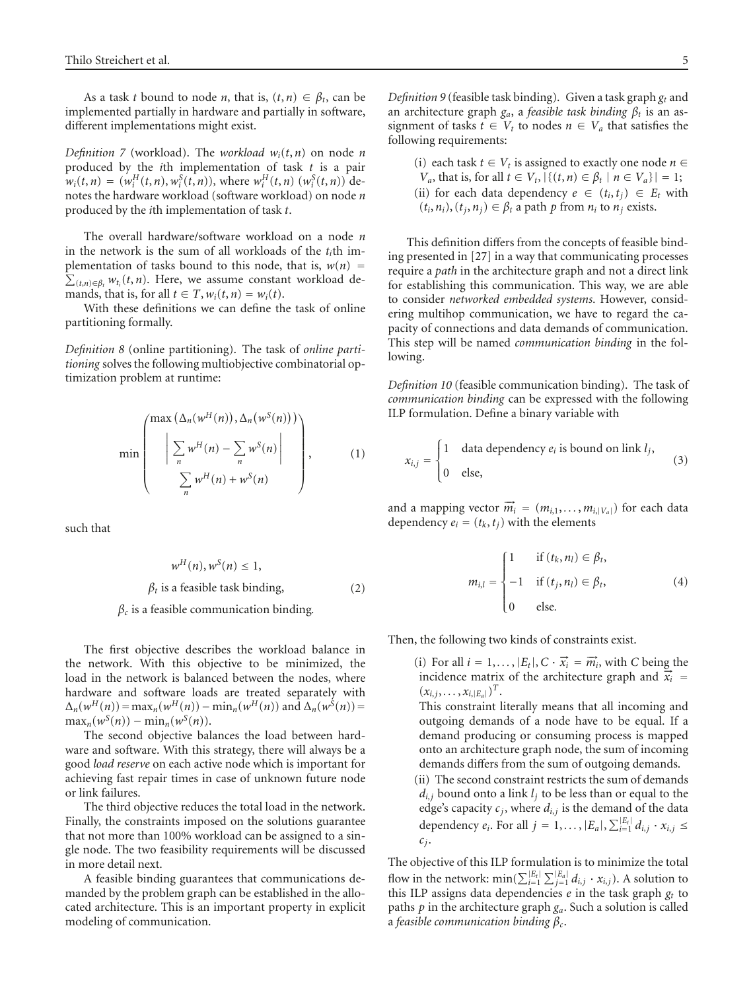As a task *t* bound to node *n*, that is,  $(t, n) \in \beta_t$ , can be implemented partially in hardware and partially in software, different implementations might exist.

*Definition 7* (workload). The *workload*  $w_i(t, n)$  on node *n* produced by the *i*th implementation of task *t* is a pair  $w_i(t, n) = (w_i^H(t, n), w_i^S(t, n))$ , where  $w_i^H(t, n) (w_i^S(t, n))$  denotes the hardware workload (software workload) on node *n* produced by the *i*th implementation of task *t*.

The overall hardware/software workload on a node *n* in the network is the sum of all workloads of the *ti*th implementation of tasks bound to this node, that is,  $w(n) = \sum_{(t,n) \in \beta_t} w_{t_i}(t,n)$ . Here, we assume constant workload demands, that is, for all  $t \in T$ ,  $w_i(t, n) = w_i(t)$ .

With these definitions we can define the task of online partitioning formally.

*Definition 8* (online partitioning). The task of *online partitioning* solves the following multiobjective combinatorial optimization problem at runtime:

$$
\min\left(\frac{\max\left(\Delta_n(w^H(n)), \Delta_n(w^S(n))\right)}{\sum_{n} w^H(n) - \sum_{n} w^S(n)}\right),\tag{1}
$$

such that

$$
w^{H}(n), w^{S}(n) \le 1,
$$
  
\n
$$
\beta_{t} \text{ is a feasible task binding,}
$$
\n(2)

*βc* is a feasible communication binding*.*

The first objective describes the workload balance in the network. With this objective to be minimized, the load in the network is balanced between the nodes, where hardware and software loads are treated separately with  $\Delta_n(w^H(n)) = \max_n(w^H(n)) - \min_n(w^H(n))$  and  $\Delta_n(w^S(n)) =$  $\max_{n}(w^{S}(n)) - \min_{n}(w^{S}(n)).$ 

The second objective balances the load between hardware and software. With this strategy, there will always be a good *load reserve* on each active node which is important for achieving fast repair times in case of unknown future node or link failures.

The third objective reduces the total load in the network. Finally, the constraints imposed on the solutions guarantee that not more than 100% workload can be assigned to a single node. The two feasibility requirements will be discussed in more detail next.

A feasible binding guarantees that communications demanded by the problem graph can be established in the allocated architecture. This is an important property in explicit modeling of communication.

<span id="page-4-0"></span>*Definition 9* (feasible task binding). Given a task graph *gt* and an architecture graph  $g_a$ , a *feasible task binding*  $\beta_t$  is an assignment of tasks  $t \in V_t$  to nodes  $n \in V_a$  that satisfies the following requirements:

(i) each task  $t \in V_t$  is assigned to exactly one node  $n \in$ *V<sub>a</sub>*, that is, for all *t* ∈ *V<sub>t</sub>*,  $|\{(t, n) \in \beta_t | n \in V_a\}|$  = 1; (ii) for each data dependency  $e \in (t_i, t_j) \in E_t$  with  $(t_i, n_i)$ ,  $(t_i, n_j) \in \beta_t$  a path *p* from  $n_i$  to  $n_j$  exists.

This definition differs from the concepts of feasible binding presented in [\[27](#page-13-26)] in a way that communicating processes require a *path* in the architecture graph and not a direct link for establishing this communication. This way, we are able to consider *networked embedded systems*. However, considering multihop communication, we have to regard the capacity of connections and data demands of communication. This step will be named *communication binding* in the following.

*Definition 10* (feasible communication binding). The task of *communication binding* can be expressed with the following ILP formulation. Define a binary variable with

$$
x_{i,j} = \begin{cases} 1 & \text{data dependency } e_i \text{ is bound on link } l_j, \\ 0 & \text{else,} \end{cases}
$$
 (3)

and a mapping vector  $\vec{m}_i = (m_{i,1}, \ldots, m_{i,|V_a|})$  for each data dependency  $e_i = (t_k, t_j)$  with the elements

$$
m_{i,l} = \begin{cases} 1 & \text{if } (t_k, n_l) \in \beta_t, \\ -1 & \text{if } (t_j, n_l) \in \beta_t, \\ 0 & \text{else.} \end{cases}
$$
(4)

Then, the following two kinds of constraints exist.

(i) For all  $i = 1, \ldots, |E_t|, C \cdot \vec{x_i} = \vec{m_i}$ , with *C* being the incidence matrix of the architecture graph and  $\vec{x_i}$  =  $(x_{i,j},...,x_{i,|E_a|})^T$ .

This constraint literally means that all incoming and outgoing demands of a node have to be equal. If a demand producing or consuming process is mapped onto an architecture graph node, the sum of incoming demands differs from the sum of outgoing demands.

(ii) The second constraint restricts the sum of demands  $d_{i,j}$  bound onto a link  $l_j$  to be less than or equal to the edge's capacity  $c_j$ , where  $d_{i,j}$  is the demand of the data dependency *e<sub>i</sub>*. For all  $j = 1, ..., |E_a|, \sum_{i=1}^{|E_t|} d_{i,j} \cdot x_{i,j} \leq$  $c_j$ .

The objective of this ILP formulation is to minimize the total flow in the network:  $\min(\sum_{i=1}^{|E_i|} \sum_{j=1}^{|E_a|} d_{i,j} \cdot x_{i,j})$ . A solution to this ILP assigns data dependencies  $e$  in the task graph  $g_t$  to paths *p* in the architecture graph *ga*. Such a solution is called a *feasible communication binding βc*.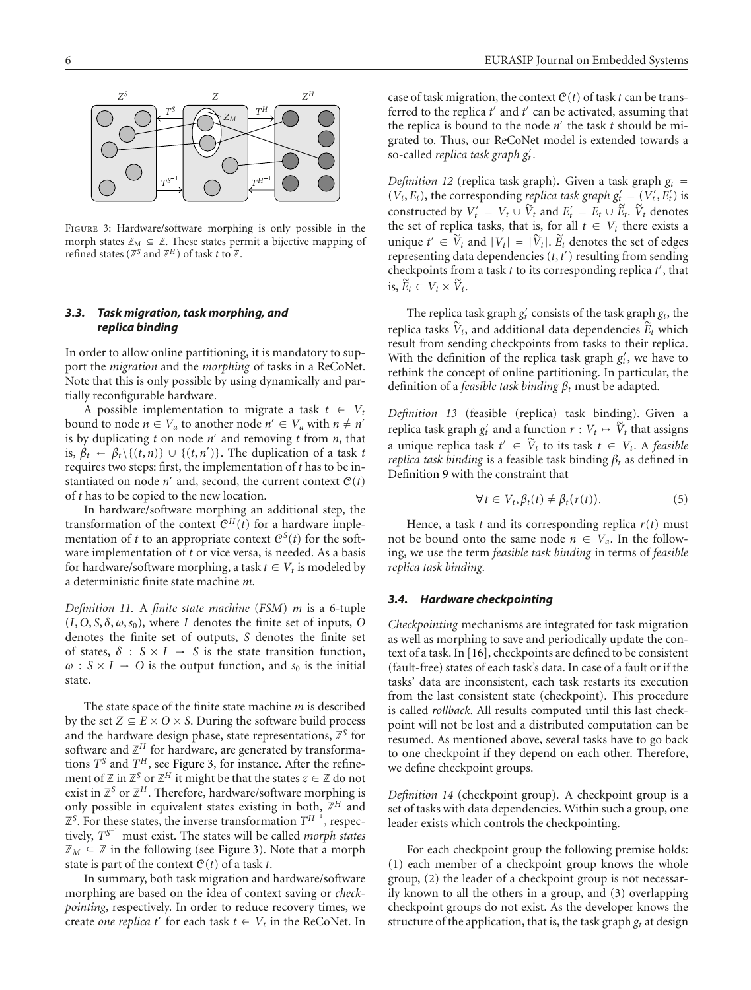

<span id="page-5-0"></span>Figure 3: Hardware/software morphing is only possible in the morph states  $\mathbb{Z}_M \subseteq \mathbb{Z}$ . These states permit a bijective mapping of refined states ( $\mathbb{Z}^{S}$  and  $\mathbb{Z}^{H}$ ) of task *t* to  $\mathbb{Z}$ .

#### <span id="page-5-1"></span>*3.3. Task migration, task morphing, and replica binding*

In order to allow online partitioning, it is mandatory to support the *migration* and the *morphing* of tasks in a ReCoNet. Note that this is only possible by using dynamically and partially reconfigurable hardware.

A possible implementation to migrate a task  $t \in V_t$ bound to node  $n \in V_a$  to another node  $n' \in V_a$  with  $n \neq n'$ is by duplicating  $t$  on node  $n'$  and removing  $t$  from  $n$ , that is,  $\beta_t$  ←  $\beta_t \setminus \{(t, n)\}$  ∪  $\{(t, n')\}$ . The duplication of a task *t* requires two steps: first, the implementation of *t* has to be instantiated on node  $n'$  and, second, the current context  $C(t)$ of *t* has to be copied to the new location.

In hardware/software morphing an additional step, the transformation of the context  $\mathcal{C}^{H}(t)$  for a hardware implementation of *t* to an appropriate context  $C^{S}(t)$  for the software implementation of *t* or vice versa, is needed. As a basis for hardware/software morphing, a task  $t \in V_t$  is modeled by a deterministic finite state machine *m*.

*Definition 11.* A *finite state machine* (*FSM*) *m* is a 6-tuple  $(I, O, S, \delta, \omega, s_0)$ , where *I* denotes the finite set of inputs, *O* denotes the finite set of outputs, *S* denotes the finite set of states,  $\delta : S \times I \rightarrow S$  is the state transition function,  $\omega$  :  $S \times I \rightarrow O$  is the output function, and  $s_0$  is the initial state.

The state space of the finite state machine *m* is described by the set  $Z \subseteq E \times O \times S$ . During the software build process and the hardware design phase, state representations,  $\mathbb{Z}^S$  for software and  $\mathbb{Z}^H$  for hardware, are generated by transformations  $T^S$  and  $T^H$ , see [Figure 3,](#page-5-0) for instance. After the refinement of  $\mathbb{Z}$  in  $\mathbb{Z}^S$  or  $\mathbb{Z}^H$  it might be that the states  $z \in \mathbb{Z}$  do not exist in  $\mathbb{Z}^S$  or  $\mathbb{Z}^H$ . Therefore, hardware/software morphing is only possible in equivalent states existing in both,  $\mathbb{Z}^H$  and Z*<sup>S</sup>*. For these states, the inverse transformation *T<sup>H</sup>*−<sup>1</sup> , respectively, *T<sup>S</sup>*−<sup>1</sup> must exist. The states will be called *morph states*  $\mathbb{Z}_M \subseteq \mathbb{Z}$  in the following (see [Figure 3\)](#page-5-0). Note that a morph state is part of the context  $C(t)$  of a task *t*.

In summary, both task migration and hardware/software morphing are based on the idea of context saving or *checkpointing*, respectively. In order to reduce recovery times, we create *one replica*  $t'$  for each task  $t \in V_t$  in the ReCoNet. In

case of task migration, the context  $C(t)$  of task  $t$  can be transferred to the replica *t'* and *t'* can be activated, assuming that the replica is bound to the node  $n'$  the task  $t$  should be migrated to. Thus, our ReCoNet model is extended towards a so-called *replica task graph g t* .

*Definition 12* (replica task graph). Given a task graph  $g_t$  =  $(V_t, E_t)$ , the corresponding *replica task graph*  $g'_t = (V'_t, E'_t)$  is constructed by  $V'_t = V_t \cup V_t$  and  $E'_t = E_t \cup E_t$ .  $V_t$  denotes the set of replica tasks, that is, for all  $t \in V_t$  there exists a unique  $t' \in V_t$  and  $|V_t| = |\widetilde{V}_t|$ .  $\widetilde{E}_t$  denotes the set of edges representing data dependencies (*t*,*t* ) resulting from sending checkpoints from a task *t* to its corresponding replica *t* , that is,  $\widetilde{E}_t \subset V_t \times \widetilde{V}_t$ .

The replica task graph  $g_t'$  consists of the task graph  $g_t$ , the replica tasks  $\widetilde{V}_t$ , and additional data dependencies  $\widetilde{E}_t$  which result from sending checkpoints from tasks to their replica. With the definition of the replica task graph  $g_t$ , we have to rethink the concept of online partitioning. In particular, the definition of a *feasible task binding*  $\beta_t$  must be adapted.

*Definition 13* (feasible (replica) task binding). Given a replica task graph  $g_t'$  and a function  $r: V_t \mapsto V_t$  that assigns a unique replica task  $t' \in V_t$  to its task  $t \in V_t$ . A *feasible replica task binding* is a feasible task binding  $\beta_t$  as defined in [Definition 9](#page-4-0) with the constraint that

$$
\forall t \in V_t, \beta_t(t) \neq \beta_t(r(t)). \tag{5}
$$

Hence, a task *t* and its corresponding replica *r*(*t*) must not be bound onto the same node  $n \in V_a$ . In the following, we use the term *feasible task binding* in terms of *feasible replica task binding*.

#### *3.4. Hardware checkpointing*

*Checkpointing* mechanisms are integrated for task migration as well as morphing to save and periodically update the context of a task. In [\[16](#page-13-16)], checkpoints are defined to be consistent (fault-free) states of each task's data. In case of a fault or if the tasks' data are inconsistent, each task restarts its execution from the last consistent state (checkpoint). This procedure is called *rollback*. All results computed until this last checkpoint will not be lost and a distributed computation can be resumed. As mentioned above, several tasks have to go back to one checkpoint if they depend on each other. Therefore, we define checkpoint groups.

*Definition 14* (checkpoint group). A checkpoint group is a set of tasks with data dependencies. Within such a group, one leader exists which controls the checkpointing.

For each checkpoint group the following premise holds: (1) each member of a checkpoint group knows the whole group, (2) the leader of a checkpoint group is not necessarily known to all the others in a group, and (3) overlapping checkpoint groups do not exist. As the developer knows the structure of the application, that is, the task graph  $g_t$  at design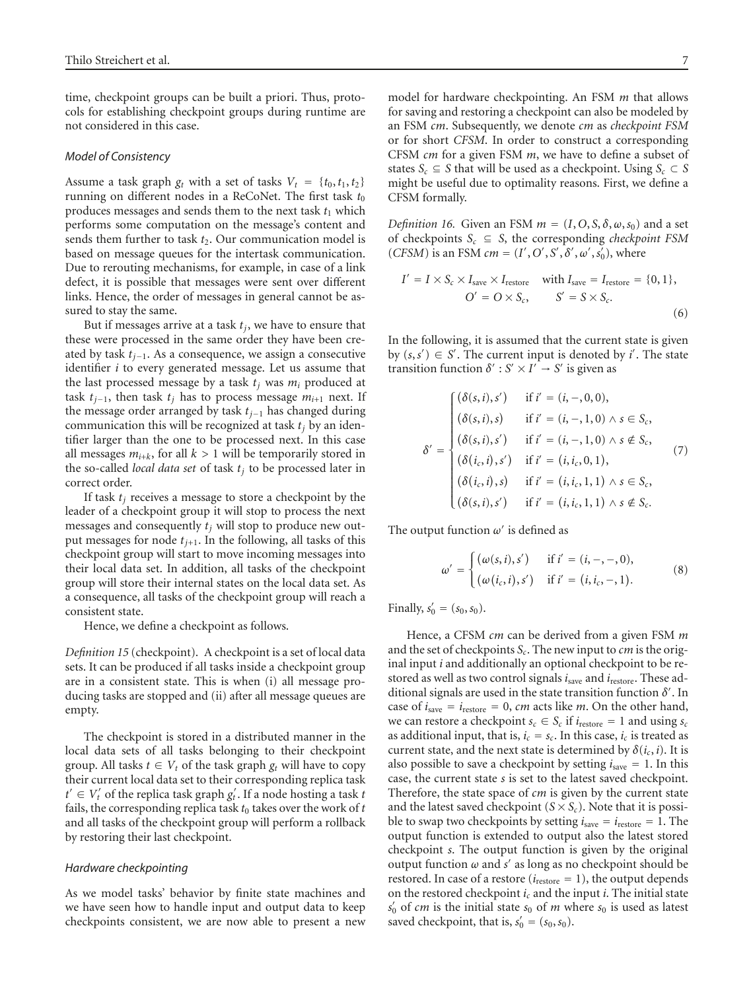time, checkpoint groups can be built a priori. Thus, protocols for establishing checkpoint groups during runtime are not considered in this case.

#### *Model of Consistency*

Assume a task graph  $g_t$  with a set of tasks  $V_t = \{t_0, t_1, t_2\}$ running on different nodes in a ReCoNet. The first task  $t_0$ produces messages and sends them to the next task  $t_1$  which performs some computation on the message's content and sends them further to task  $t_2$ . Our communication model is based on message queues for the intertask communication. Due to rerouting mechanisms, for example, in case of a link defect, it is possible that messages were sent over different links. Hence, the order of messages in general cannot be assured to stay the same.

But if messages arrive at a task *tj*, we have to ensure that these were processed in the same order they have been created by task *tj*−1. As a consequence, we assign a consecutive identifier *i* to every generated message. Let us assume that the last processed message by a task  $t_i$  was  $m_i$  produced at task  $t_{j-1}$ , then task  $t_j$  has to process message  $m_{i+1}$  next. If the message order arranged by task *tj*−<sup>1</sup> has changed during communication this will be recognized at task  $t_j$  by an identifier larger than the one to be processed next. In this case all messages  $m_{i+k}$ , for all  $k > 1$  will be temporarily stored in the so-called *local data set* of task  $t_j$  to be processed later in correct order.

If task  $t_i$  receives a message to store a checkpoint by the leader of a checkpoint group it will stop to process the next messages and consequently  $t_i$  will stop to produce new output messages for node  $t_{i+1}$ . In the following, all tasks of this checkpoint group will start to move incoming messages into their local data set. In addition, all tasks of the checkpoint group will store their internal states on the local data set. As a consequence, all tasks of the checkpoint group will reach a consistent state.

Hence, we define a checkpoint as follows.

*Definition 15* (checkpoint). A checkpoint is a set of local data sets. It can be produced if all tasks inside a checkpoint group are in a consistent state. This is when (i) all message producing tasks are stopped and (ii) after all message queues are empty.

The checkpoint is stored in a distributed manner in the local data sets of all tasks belonging to their checkpoint group. All tasks  $t \in V_t$  of the task graph  $g_t$  will have to copy their current local data set to their corresponding replica task  $t' \in V'_t$  of the replica task graph  $g'_t$ . If a node hosting a task *t* fails, the corresponding replica task  $t_0$  takes over the work of  $t$ and all tasks of the checkpoint group will perform a rollback by restoring their last checkpoint.

#### *Hardware checkpointing*

As we model tasks' behavior by finite state machines and we have seen how to handle input and output data to keep checkpoints consistent, we are now able to present a new

model for hardware checkpointing. An FSM *m* that allows for saving and restoring a checkpoint can also be modeled by an FSM *cm*. Subsequently, we denote *cm* as *checkpoint FSM* or for short *CFSM*. In order to construct a corresponding CFSM *cm* for a given FSM *m*, we have to define a subset of states *S<sub>c</sub>*  $\subseteq$  *S* that will be used as a checkpoint. Using *S<sub>c</sub>*  $\subset$  *S* might be useful due to optimality reasons. First, we define a CFSM formally.

*Definition 16.* Given an FSM  $m = (I, O, S, \delta, \omega, s_0)$  and a set of checkpoints  $S_c \subseteq S$ , the corresponding *checkpoint FSM* (*CFSM*) is an FSM  $cm = (I', O', S', \delta', \omega', s'_0)$ , where

$$
I' = I \times S_c \times I_{\text{save}} \times I_{\text{restore}} \quad \text{with } I_{\text{save}} = I_{\text{restore}} = \{0, 1\},
$$
  

$$
O' = O \times S_c, \qquad S' = S \times S_c.
$$
 (6)

In the following, it is assumed that the current state is given by  $(s, s') \in S'$ . The current input is denoted by *i'*. The state transition function  $\delta' : S' \times I' \to S'$  is given as

$$
\delta' = \begin{cases}\n(\delta(s, i), s') & \text{if } i' = (i, -, 0, 0), \\
(\delta(s, i), s) & \text{if } i' = (i, -, 1, 0) \land s \in S_c, \\
(\delta(s, i), s') & \text{if } i' = (i, -, 1, 0) \land s \notin S_c, \\
(\delta(i_c, i), s') & \text{if } i' = (i, i_c, 0, 1), \\
(\delta(i_c, i), s) & \text{if } i' = (i, i_c, 1, 1) \land s \in S_c, \\
(\delta(s, i), s') & \text{if } i' = (i, i_c, 1, 1) \land s \notin S_c.\n\end{cases}
$$
\n(7)

The output function  $\omega'$  is defined as

$$
\omega' = \begin{cases}\n(\omega(s, i), s') & \text{if } i' = (i, -, -, 0), \\
(\omega(i_c, i), s') & \text{if } i' = (i, i_c, -, 1).\n\end{cases}
$$
\n(8)

Finally,  $s'_0 = (s_0, s_0)$ .

Hence, a CFSM *cm* can be derived from a given FSM *m* and the set of checkpoints *Sc*. The new input to *cm* is the original input *i* and additionally an optional checkpoint to be restored as well as two control signals *i*save and *i*restore. These additional signals are used in the state transition function *δ* . In case of  $i_{\text{save}} = i_{\text{restore}} = 0$ , *cm* acts like *m*. On the other hand, we can restore a checkpoint  $s_c \in S_c$  if  $i_{\text{restore}} = 1$  and using  $s_c$ as additional input, that is,  $i_c = s_c$ . In this case,  $i_c$  is treated as current state, and the next state is determined by  $\delta(i_c, i)$ . It is also possible to save a checkpoint by setting  $i<sub>save</sub> = 1$ . In this case, the current state *s* is set to the latest saved checkpoint. Therefore, the state space of *cm* is given by the current state and the latest saved checkpoint  $(S \times S_c)$ . Note that it is possible to swap two checkpoints by setting  $i_{\text{save}} = i_{\text{restore}} = 1$ . The output function is extended to output also the latest stored checkpoint *s*. The output function is given by the original output function  $\omega$  and  $s'$  as long as no checkpoint should be restored. In case of a restore ( $i_{\text{restore}} = 1$ ), the output depends on the restored checkpoint *ic* and the input *i*. The initial state  $s'_0$  of *cm* is the initial state  $s_0$  of *m* where  $s_0$  is used as latest saved checkpoint, that is,  $s'_0 = (s_0, s_0)$ .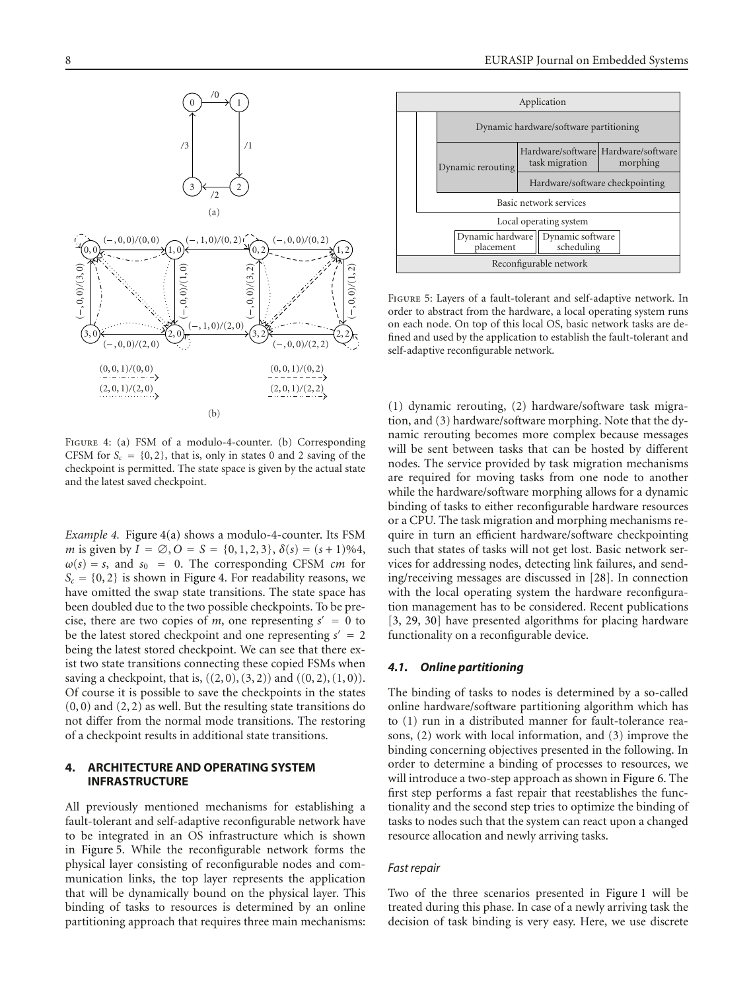<span id="page-7-1"></span>

<span id="page-7-2"></span>Figure 4: (a) FSM of a modulo-4-counter. (b) Corresponding CFSM for  $S_c = \{0, 2\}$ , that is, only in states 0 and 2 saving of the checkpoint is permitted. The state space is given by the actual state and the latest saved checkpoint.

*Example 4.* [Figure 4\(a\)](#page-7-1) shows a modulo-4-counter. Its FSM *m* is given by  $I = \emptyset$ ,  $O = S = \{0, 1, 2, 3\}$ ,  $\delta(s) = (s + 1)\%4$ ,  $\omega(s) = s$ , and  $s_0 = 0$ . The corresponding CFSM *cm* for  $S_c = \{0, 2\}$  is shown in [Figure 4.](#page-7-2) For readability reasons, we have omitted the swap state transitions. The state space has been doubled due to the two possible checkpoints. To be precise, there are two copies of *m*, one representing  $s' = 0$  to be the latest stored checkpoint and one representing  $s' = 2$ being the latest stored checkpoint. We can see that there exist two state transitions connecting these copied FSMs when saving a checkpoint, that is,  $((2, 0), (3, 2))$  and  $((0, 2), (1, 0)).$ Of course it is possible to save the checkpoints in the states  $(0, 0)$  and  $(2, 2)$  as well. But the resulting state transitions do not differ from the normal mode transitions. The restoring of a checkpoint results in additional state transitions.

## <span id="page-7-0"></span>**4. ARCHITECTURE AND OPERATING SYSTEM INFRASTRUCTURE**

All previously mentioned mechanisms for establishing a fault-tolerant and self-adaptive reconfigurable network have to be integrated in an OS infrastructure which is shown in [Figure 5.](#page-7-3) While the reconfigurable network forms the physical layer consisting of reconfigurable nodes and communication links, the top layer represents the application that will be dynamically bound on the physical layer. This binding of tasks to resources is determined by an online partitioning approach that requires three main mechanisms:



<span id="page-7-3"></span>Figure 5: Layers of a fault-tolerant and self-adaptive network. In order to abstract from the hardware, a local operating system runs on each node. On top of this local OS, basic network tasks are defined and used by the application to establish the fault-tolerant and self-adaptive reconfigurable network.

(1) dynamic rerouting, (2) hardware/software task migration, and (3) hardware/software morphing. Note that the dynamic rerouting becomes more complex because messages will be sent between tasks that can be hosted by different nodes. The service provided by task migration mechanisms are required for moving tasks from one node to another while the hardware/software morphing allows for a dynamic binding of tasks to either reconfigurable hardware resources or a CPU. The task migration and morphing mechanisms require in turn an efficient hardware/software checkpointing such that states of tasks will not get lost. Basic network services for addressing nodes, detecting link failures, and sending/receiving messages are discussed in [\[28](#page-13-27)]. In connection with the local operating system the hardware reconfiguration management has to be considered. Recent publications [\[3,](#page-13-2) [29,](#page-13-28) [30](#page-13-29)] have presented algorithms for placing hardware functionality on a reconfigurable device.

#### *4.1. Online partitioning*

The binding of tasks to nodes is determined by a so-called online hardware/software partitioning algorithm which has to (1) run in a distributed manner for fault-tolerance reasons, (2) work with local information, and (3) improve the binding concerning objectives presented in the following. In order to determine a binding of processes to resources, we will introduce a two-step approach as shown in [Figure 6.](#page-8-0) The first step performs a fast repair that reestablishes the functionality and the second step tries to optimize the binding of tasks to nodes such that the system can react upon a changed resource allocation and newly arriving tasks.

## *Fast repair*

Two of the three scenarios presented in [Figure 1](#page-2-0) will be treated during this phase. In case of a newly arriving task the decision of task binding is very easy. Here, we use discrete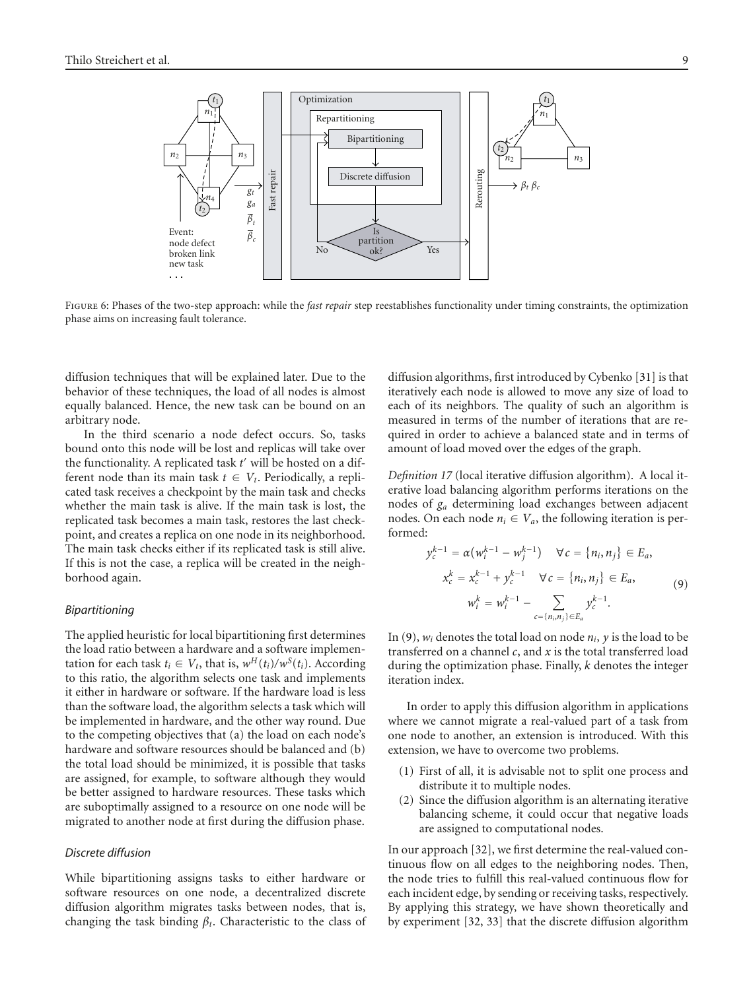

<span id="page-8-0"></span>Figure 6: Phases of the two-step approach: while the *fast repair* step reestablishes functionality under timing constraints, the optimization phase aims on increasing fault tolerance.

diffusion techniques that will be explained later. Due to the behavior of these techniques, the load of all nodes is almost equally balanced. Hence, the new task can be bound on an arbitrary node.

In the third scenario a node defect occurs. So, tasks bound onto this node will be lost and replicas will take over the functionality. A replicated task  $t'$  will be hosted on a different node than its main task  $t \in V_t$ . Periodically, a replicated task receives a checkpoint by the main task and checks whether the main task is alive. If the main task is lost, the replicated task becomes a main task, restores the last checkpoint, and creates a replica on one node in its neighborhood. The main task checks either if its replicated task is still alive. If this is not the case, a replica will be created in the neighborhood again.

## *Bipartitioning*

The applied heuristic for local bipartitioning first determines the load ratio between a hardware and a software implementation for each task  $t_i \in V_t$ , that is,  $w^H(t_i)/w^S(t_i)$ . According to this ratio, the algorithm selects one task and implements it either in hardware or software. If the hardware load is less than the software load, the algorithm selects a task which will be implemented in hardware, and the other way round. Due to the competing objectives that (a) the load on each node's hardware and software resources should be balanced and (b) the total load should be minimized, it is possible that tasks are assigned, for example, to software although they would be better assigned to hardware resources. These tasks which are suboptimally assigned to a resource on one node will be migrated to another node at first during the diffusion phase.

## *Discrete diffusion*

While bipartitioning assigns tasks to either hardware or software resources on one node, a decentralized discrete diffusion algorithm migrates tasks between nodes, that is, changing the task binding  $\beta_t$ . Characteristic to the class of diffusion algorithms, first introduced by Cybenko [\[31\]](#page-13-30) is that iteratively each node is allowed to move any size of load to each of its neighbors. The quality of such an algorithm is measured in terms of the number of iterations that are required in order to achieve a balanced state and in terms of amount of load moved over the edges of the graph.

*Definition 17* (local iterative diffusion algorithm). A local iterative load balancing algorithm performs iterations on the nodes of *ga* determining load exchanges between adjacent nodes. On each node  $n_i \in V_a$ , the following iteration is performed:

<span id="page-8-1"></span>
$$
y_c^{k-1} = \alpha (w_i^{k-1} - w_j^{k-1}) \quad \forall c = \{n_i, n_j\} \in E_a,
$$
  

$$
x_c^k = x_c^{k-1} + y_c^{k-1} \quad \forall c = \{n_i, n_j\} \in E_a,
$$
  

$$
w_i^k = w_i^{k-1} - \sum_{c = \{n_i, n_j\} \in E_a} y_c^{k-1}.
$$
  
(9)

In [\(9\)](#page-8-1),  $w_i$  denotes the total load on node  $n_i$ ,  $y$  is the load to be transferred on a channel *c*, and *x* is the total transferred load during the optimization phase. Finally, *k* denotes the integer iteration index.

In order to apply this diffusion algorithm in applications where we cannot migrate a real-valued part of a task from one node to another, an extension is introduced. With this extension, we have to overcome two problems.

- (1) First of all, it is advisable not to split one process and distribute it to multiple nodes.
- (2) Since the diffusion algorithm is an alternating iterative balancing scheme, it could occur that negative loads are assigned to computational nodes.

In our approach [\[32\]](#page-14-0), we first determine the real-valued continuous flow on all edges to the neighboring nodes. Then, the node tries to fulfill this real-valued continuous flow for each incident edge, by sending or receiving tasks, respectively. By applying this strategy, we have shown theoretically and by experiment [\[32,](#page-14-0) [33\]](#page-14-1) that the discrete diffusion algorithm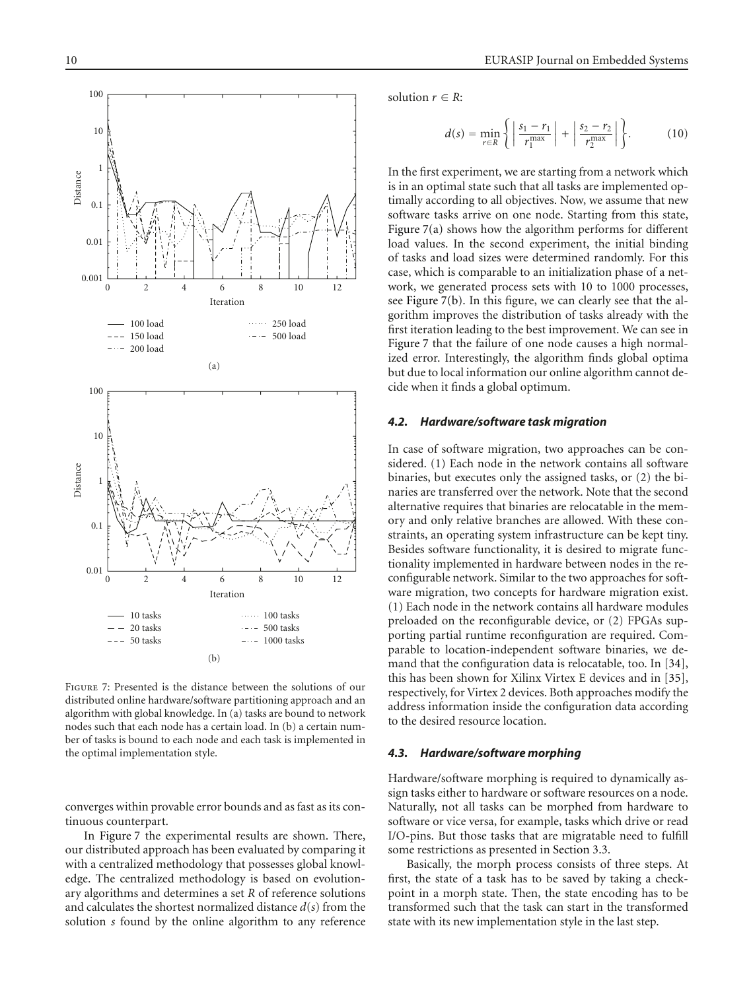<span id="page-9-2"></span><span id="page-9-1"></span>

<span id="page-9-0"></span>Figure 7: Presented is the distance between the solutions of our distributed online hardware/software partitioning approach and an algorithm with global knowledge. In (a) tasks are bound to network nodes such that each node has a certain load. In (b) a certain number of tasks is bound to each node and each task is implemented in the optimal implementation style.

converges within provable error bounds and as fast as its continuous counterpart.

In [Figure 7](#page-9-0) the experimental results are shown. There, our distributed approach has been evaluated by comparing it with a centralized methodology that possesses global knowledge. The centralized methodology is based on evolutionary algorithms and determines a set *R* of reference solutions and calculates the shortest normalized distance *d*(*s*) from the solution *s* found by the online algorithm to any reference

solution  $r \in R$ :

$$
d(s) = \min_{r \in R} \left\{ \left| \frac{s_1 - r_1}{r_1^{\max}} \right| + \left| \frac{s_2 - r_2}{r_2^{\max}} \right| \right\}.
$$
 (10)

In the first experiment, we are starting from a network which is in an optimal state such that all tasks are implemented optimally according to all objectives. Now, we assume that new software tasks arrive on one node. Starting from this state, [Figure 7\(a\)](#page-9-1) shows how the algorithm performs for different load values. In the second experiment, the initial binding of tasks and load sizes were determined randomly. For this case, which is comparable to an initialization phase of a network, we generated process sets with 10 to 1000 processes, see [Figure 7\(b\).](#page-9-2) In this figure, we can clearly see that the algorithm improves the distribution of tasks already with the first iteration leading to the best improvement. We can see in [Figure 7](#page-9-0) that the failure of one node causes a high normalized error. Interestingly, the algorithm finds global optima but due to local information our online algorithm cannot decide when it finds a global optimum.

#### *4.2. Hardware/software task migration*

In case of software migration, two approaches can be considered. (1) Each node in the network contains all software binaries, but executes only the assigned tasks, or (2) the binaries are transferred over the network. Note that the second alternative requires that binaries are relocatable in the memory and only relative branches are allowed. With these constraints, an operating system infrastructure can be kept tiny. Besides software functionality, it is desired to migrate functionality implemented in hardware between nodes in the reconfigurable network. Similar to the two approaches for software migration, two concepts for hardware migration exist. (1) Each node in the network contains all hardware modules preloaded on the reconfigurable device, or (2) FPGAs supporting partial runtime reconfiguration are required. Comparable to location-independent software binaries, we demand that the configuration data is relocatable, too. In [\[34](#page-14-2)], this has been shown for Xilinx Virtex E devices and in [\[35](#page-14-3)], respectively, for Virtex 2 devices. Both approaches modify the address information inside the configuration data according to the desired resource location.

#### *4.3. Hardware/software morphing*

Hardware/software morphing is required to dynamically assign tasks either to hardware or software resources on a node. Naturally, not all tasks can be morphed from hardware to software or vice versa, for example, tasks which drive or read I/O-pins. But those tasks that are migratable need to fulfill some restrictions as presented in [Section 3.3.](#page-5-1)

Basically, the morph process consists of three steps. At first, the state of a task has to be saved by taking a checkpoint in a morph state. Then, the state encoding has to be transformed such that the task can start in the transformed state with its new implementation style in the last step.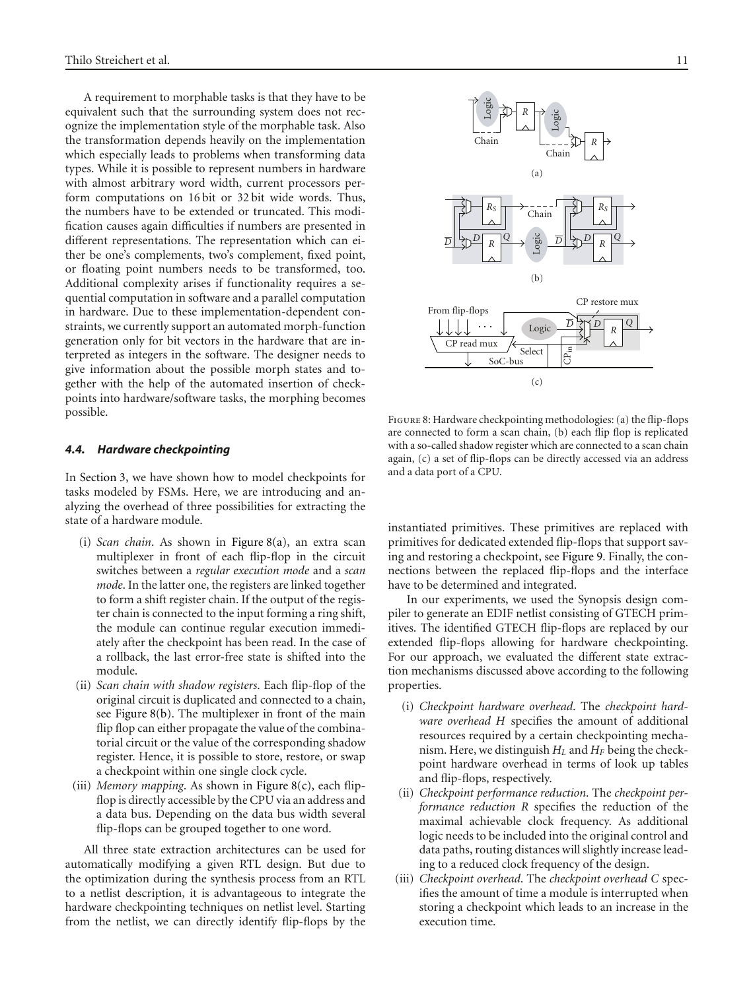A requirement to morphable tasks is that they have to be equivalent such that the surrounding system does not recognize the implementation style of the morphable task. Also the transformation depends heavily on the implementation which especially leads to problems when transforming data types. While it is possible to represent numbers in hardware with almost arbitrary word width, current processors perform computations on 16 bit or 32 bit wide words. Thus, the numbers have to be extended or truncated. This modification causes again difficulties if numbers are presented in different representations. The representation which can either be one's complements, two's complement, fixed point, or floating point numbers needs to be transformed, too. Additional complexity arises if functionality requires a sequential computation in software and a parallel computation in hardware. Due to these implementation-dependent constraints, we currently support an automated morph-function generation only for bit vectors in the hardware that are interpreted as integers in the software. The designer needs to give information about the possible morph states and together with the help of the automated insertion of checkpoints into hardware/software tasks, the morphing becomes possible.

#### *4.4. Hardware checkpointing*

In [Section 3,](#page-1-0) we have shown how to model checkpoints for tasks modeled by FSMs. Here, we are introducing and analyzing the overhead of three possibilities for extracting the state of a hardware module.

- (i) *Scan chain*. As shown in [Figure 8\(a\),](#page-10-0) an extra scan multiplexer in front of each flip-flop in the circuit switches between a *regular execution mode* and a *scan mode*. In the latter one, the registers are linked together to form a shift register chain. If the output of the register chain is connected to the input forming a ring shift, the module can continue regular execution immediately after the checkpoint has been read. In the case of a rollback, the last error-free state is shifted into the module.
- (ii) *Scan chain with shadow registers*. Each flip-flop of the original circuit is duplicated and connected to a chain, see [Figure 8\(b\).](#page-10-1) The multiplexer in front of the main flip flop can either propagate the value of the combinatorial circuit or the value of the corresponding shadow register. Hence, it is possible to store, restore, or swap a checkpoint within one single clock cycle.
- (iii) *Memory mapping*. As shown in [Figure 8\(c\),](#page-10-2) each flipflop is directly accessible by the CPU via an address and a data bus. Depending on the data bus width several flip-flops can be grouped together to one word.

All three state extraction architectures can be used for automatically modifying a given RTL design. But due to the optimization during the synthesis process from an RTL to a netlist description, it is advantageous to integrate the hardware checkpointing techniques on netlist level. Starting from the netlist, we can directly identify flip-flops by the

<span id="page-10-0"></span>

<span id="page-10-2"></span><span id="page-10-1"></span>Figure 8: Hardware checkpointing methodologies: (a) the flip-flops are connected to form a scan chain, (b) each flip flop is replicated with a so-called shadow register which are connected to a scan chain again, (c) a set of flip-flops can be directly accessed via an address and a data port of a CPU.

instantiated primitives. These primitives are replaced with primitives for dedicated extended flip-flops that support saving and restoring a checkpoint, see [Figure 9.](#page-11-1) Finally, the connections between the replaced flip-flops and the interface have to be determined and integrated.

In our experiments, we used the Synopsis design compiler to generate an EDIF netlist consisting of GTECH primitives. The identified GTECH flip-flops are replaced by our extended flip-flops allowing for hardware checkpointing. For our approach, we evaluated the different state extraction mechanisms discussed above according to the following properties.

- (i) *Checkpoint hardware overhead*. The *checkpoint hardware overhead H* specifies the amount of additional resources required by a certain checkpointing mechanism. Here, we distinguish  $H_L$  and  $H_F$  being the checkpoint hardware overhead in terms of look up tables and flip-flops, respectively.
- (ii) *Checkpoint performance reduction*. The *checkpoint performance reduction R* specifies the reduction of the maximal achievable clock frequency. As additional logic needs to be included into the original control and data paths, routing distances will slightly increase leading to a reduced clock frequency of the design.
- (iii) *Checkpoint overhead*. The *checkpoint overhead C* specifies the amount of time a module is interrupted when storing a checkpoint which leads to an increase in the execution time.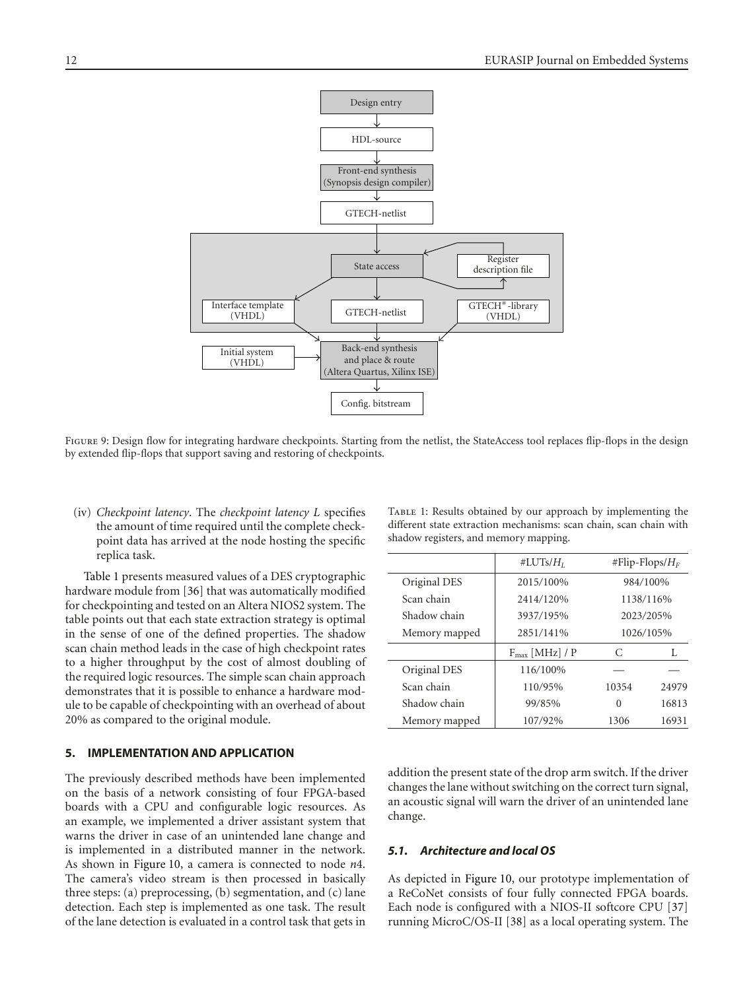

<span id="page-11-1"></span>FIGURE 9: Design flow for integrating hardware checkpoints. Starting from the netlist, the StateAccess tool replaces flip-flops in the design by extended flip-flops that support saving and restoring of checkpoints.

(iv) *Checkpoint latency*. The *checkpoint latency L* specifies the amount of time required until the complete checkpoint data has arrived at the node hosting the specific replica task.

[Table 1](#page-11-2) presents measured values of a DES cryptographic hardware module from [\[36](#page-14-4)] that was automatically modified for checkpointing and tested on an Altera NIOS2 system. The table points out that each state extraction strategy is optimal in the sense of one of the defined properties. The shadow scan chain method leads in the case of high checkpoint rates to a higher throughput by the cost of almost doubling of the required logic resources. The simple scan chain approach demonstrates that it is possible to enhance a hardware module to be capable of checkpointing with an overhead of about 20% as compared to the original module.

## <span id="page-11-0"></span>**5. IMPLEMENTATION AND APPLICATION**

The previously described methods have been implemented on the basis of a network consisting of four FPGA-based boards with a CPU and configurable logic resources. As an example, we implemented a driver assistant system that warns the driver in case of an unintended lane change and is implemented in a distributed manner in the network. As shown in [Figure 10,](#page-12-0) a camera is connected to node *n*4. The camera's video stream is then processed in basically three steps: (a) preprocessing, (b) segmentation, and (c) lane detection. Each step is implemented as one task. The result of the lane detection is evaluated in a control task that gets in

|               | #LUTs/ $H_I$        | #Flip-Flops/ $H_F$ |       |
|---------------|---------------------|--------------------|-------|
| Original DES  | 2015/100%           | 984/100%           |       |
| Scan chain    | 2414/120%           | 1138/116%          |       |
| Shadow chain  | 3937/195%           | 2023/205%          |       |
| Memory mapped | 2851/141%           | 1026/105%          |       |
|               | $F_{max}$ [MHz] / P | C                  | L     |
| Original DES  | 116/100%            |                    |       |
| Scan chain    | 110/95%             | 10354              | 24979 |
| Shadow chain  | 99/85%              | 0                  | 16813 |
| Memory mapped | 107/92%             | 1306               | 16931 |

<span id="page-11-2"></span>TABLE 1: Results obtained by our approach by implementing the different state extraction mechanisms: scan chain, scan chain with shadow registers, and memory mapping.

addition the present state of the drop arm switch. If the driver changes the lane without switching on the correct turn signal, an acoustic signal will warn the driver of an unintended lane change.

# *5.1. Architecture and local OS*

As depicted in [Figure 10,](#page-12-0) our prototype implementation of a ReCoNet consists of four fully connected FPGA boards. Each node is configured with a NIOS-II softcore CPU [\[37\]](#page-14-5) running MicroC/OS-II [\[38\]](#page-14-6) as a local operating system. The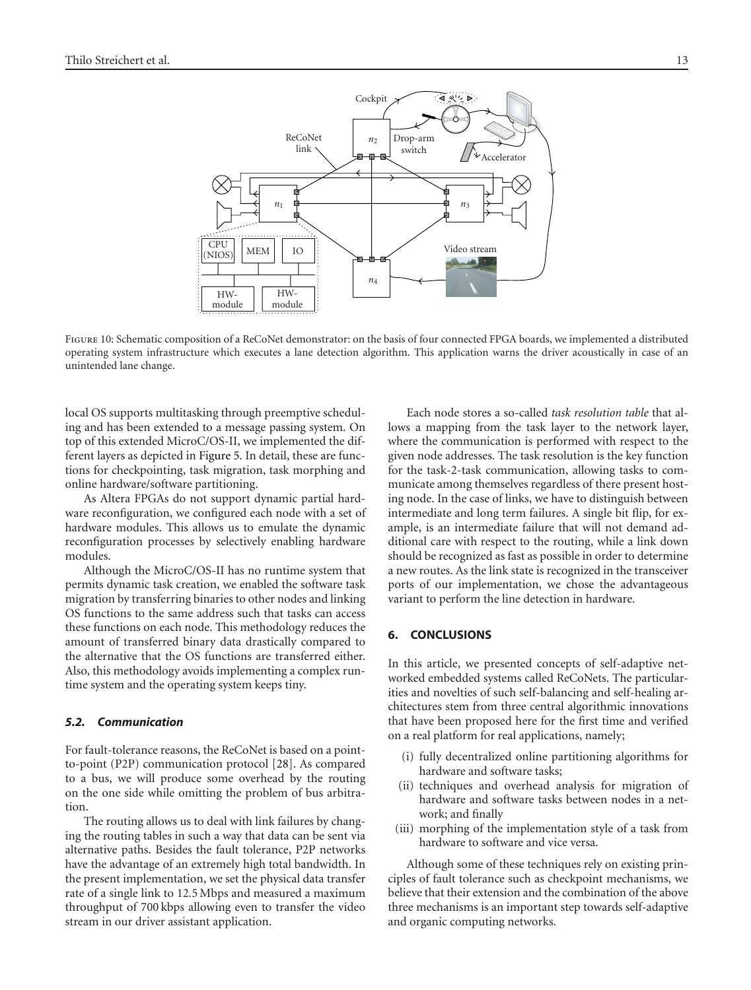

<span id="page-12-0"></span>Figure 10: Schematic composition of a ReCoNet demonstrator: on the basis of four connected FPGA boards, we implemented a distributed operating system infrastructure which executes a lane detection algorithm. This application warns the driver acoustically in case of an unintended lane change.

local OS supports multitasking through preemptive scheduling and has been extended to a message passing system. On top of this extended MicroC/OS-II, we implemented the different layers as depicted in [Figure 5.](#page-7-3) In detail, these are functions for checkpointing, task migration, task morphing and online hardware/software partitioning.

As Altera FPGAs do not support dynamic partial hardware reconfiguration, we configured each node with a set of hardware modules. This allows us to emulate the dynamic reconfiguration processes by selectively enabling hardware modules.

Although the MicroC/OS-II has no runtime system that permits dynamic task creation, we enabled the software task migration by transferring binaries to other nodes and linking OS functions to the same address such that tasks can access these functions on each node. This methodology reduces the amount of transferred binary data drastically compared to the alternative that the OS functions are transferred either. Also, this methodology avoids implementing a complex runtime system and the operating system keeps tiny.

## *5.2. Communication*

For fault-tolerance reasons, the ReCoNet is based on a pointto-point (P2P) communication protocol [\[28\]](#page-13-27). As compared to a bus, we will produce some overhead by the routing on the one side while omitting the problem of bus arbitration.

The routing allows us to deal with link failures by changing the routing tables in such a way that data can be sent via alternative paths. Besides the fault tolerance, P2P networks have the advantage of an extremely high total bandwidth. In the present implementation, we set the physical data transfer rate of a single link to 12*.*5 Mbps and measured a maximum throughput of 700 kbps allowing even to transfer the video stream in our driver assistant application.

Each node stores a so-called *task resolution table* that allows a mapping from the task layer to the network layer, where the communication is performed with respect to the given node addresses. The task resolution is the key function for the task-2-task communication, allowing tasks to communicate among themselves regardless of there present hosting node. In the case of links, we have to distinguish between intermediate and long term failures. A single bit flip, for example, is an intermediate failure that will not demand additional care with respect to the routing, while a link down should be recognized as fast as possible in order to determine a new routes. As the link state is recognized in the transceiver ports of our implementation, we chose the advantageous variant to perform the line detection in hardware.

# **6. CONCLUSIONS**

In this article, we presented concepts of self-adaptive networked embedded systems called ReCoNets. The particularities and novelties of such self-balancing and self-healing architectures stem from three central algorithmic innovations that have been proposed here for the first time and verified on a real platform for real applications, namely;

- (i) fully decentralized online partitioning algorithms for hardware and software tasks;
- (ii) techniques and overhead analysis for migration of hardware and software tasks between nodes in a network; and finally
- (iii) morphing of the implementation style of a task from hardware to software and vice versa.

Although some of these techniques rely on existing principles of fault tolerance such as checkpoint mechanisms, we believe that their extension and the combination of the above three mechanisms is an important step towards self-adaptive and organic computing networks.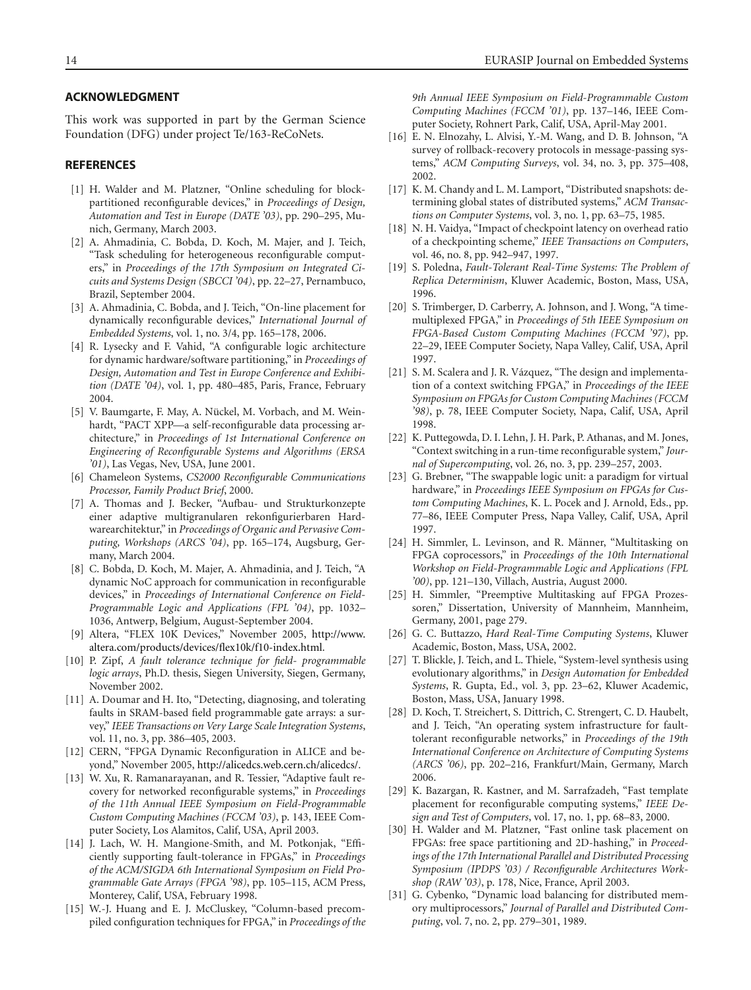## **ACKNOWLEDGMENT**

This work was supported in part by the German Science Foundation (DFG) under project Te/163-ReCoNets.

#### <span id="page-13-1"></span><span id="page-13-0"></span>**REFERENCES**

- [1] H. Walder and M. Platzner, "Online scheduling for blockpartitioned reconfigurable devices," in *Proceedings of Design, Automation and Test in Europe (DATE '03)*, pp. 290–295, Munich, Germany, March 2003.
- <span id="page-13-3"></span>[2] A. Ahmadinia, C. Bobda, D. Koch, M. Majer, and J. Teich, "Task scheduling for heterogeneous reconfigurable computers," in *Proceedings of the 17th Symposium on Integrated Cicuits and Systems Design (SBCCI '04)*, pp. 22–27, Pernambuco, Brazil, September 2004.
- <span id="page-13-2"></span>[3] A. Ahmadinia, C. Bobda, and J. Teich, "On-line placement for dynamically reconfigurable devices," *International Journal of Embedded Systems*, vol. 1, no. 3/4, pp. 165–178, 2006.
- <span id="page-13-4"></span>[4] R. Lysecky and F. Vahid, "A configurable logic architecture for dynamic hardware/software partitioning," in *Proceedings of Design, Automation and Test in Europe Conference and Exhibition (DATE '04)*, vol. 1, pp. 480–485, Paris, France, February 2004.
- <span id="page-13-5"></span>[5] V. Baumgarte, F. May, A. Nückel, M. Vorbach, and M. Weinhardt, "PACT XPP—a self-reconfigurable data processing architecture," in *Proceedings of 1st International Conference on Engineering of Reconfigurable Systems and Algorithms (ERSA '01)*, Las Vegas, Nev, USA, June 2001.
- <span id="page-13-6"></span>[6] Chameleon Systems, *CS2000 Reconfigurable Communications Processor, Family Product Brief*, 2000.
- <span id="page-13-7"></span>[7] A. Thomas and J. Becker, "Aufbau- und Strukturkonzepte einer adaptive multigranularen rekonfigurierbaren Hardwarearchitektur," in *Proceedings of Organic and Pervasive Computing, Workshops (ARCS '04)*, pp. 165–174, Augsburg, Germany, March 2004.
- <span id="page-13-8"></span>[8] C. Bobda, D. Koch, M. Majer, A. Ahmadinia, and J. Teich, "A dynamic NoC approach for communication in reconfigurable devices," in *Proceedings of International Conference on Field-Programmable Logic and Applications (FPL '04)*, pp. 1032– 1036, Antwerp, Belgium, August-September 2004.
- [9] Altera, "FLEX 10K Devices," November 2005, [http://www.](http://www.altera.com/products/devices/flex10k/f10-index.html) [altera.com/products/devices/flex10k/f10-index.html.](http://www.altera.com/products/devices/flex10k/f10-index.html)
- <span id="page-13-10"></span><span id="page-13-9"></span>[10] P. Zipf, *A fault tolerance technique for field- programmable logic arrays*, Ph.D. thesis, Siegen University, Siegen, Germany, November 2002.
- <span id="page-13-11"></span>[11] A. Doumar and H. Ito, "Detecting, diagnosing, and tolerating faults in SRAM-based field programmable gate arrays: a survey," *IEEE Transactions on Very Large Scale Integration Systems*, vol. 11, no. 3, pp. 386–405, 2003.
- <span id="page-13-12"></span>[12] CERN, "FPGA Dynamic Reconfiguration in ALICE and beyond," November 2005, [http://alicedcs.web.cern.ch/alicedcs/.](http://alicedcs.web.cern.ch/alicedcs/)
- <span id="page-13-13"></span>[13] W. Xu, R. Ramanarayanan, and R. Tessier, "Adaptive fault recovery for networked reconfigurable systems," in *Proceedings of the 11th Annual IEEE Symposium on Field-Programmable Custom Computing Machines (FCCM '03)*, p. 143, IEEE Computer Society, Los Alamitos, Calif, USA, April 2003.
- <span id="page-13-14"></span>[14] J. Lach, W. H. Mangione-Smith, and M. Potkonjak, "Efficiently supporting fault-tolerance in FPGAs," in *Proceedings of the ACM/SIGDA 6th International Symposium on Field Programmable Gate Arrays (FPGA '98)*, pp. 105–115, ACM Press, Monterey, Calif, USA, February 1998.
- <span id="page-13-15"></span>[15] W.-J. Huang and E. J. McCluskey, "Column-based precompiled configuration techniques for FPGA," in *Proceedings of the*

*9th Annual IEEE Symposium on Field-Programmable Custom Computing Machines (FCCM '01)*, pp. 137–146, IEEE Computer Society, Rohnert Park, Calif, USA, April-May 2001.

- <span id="page-13-16"></span>[16] E. N. Elnozahy, L. Alvisi, Y.-M. Wang, and D. B. Johnson, "A survey of rollback-recovery protocols in message-passing systems," *ACM Computing Surveys*, vol. 34, no. 3, pp. 375–408, 2002.
- <span id="page-13-17"></span>[17] K. M. Chandy and L. M. Lamport, "Distributed snapshots: determining global states of distributed systems," *ACM Transactions on Computer Systems*, vol. 3, no. 1, pp. 63–75, 1985.
- <span id="page-13-18"></span>[18] N. H. Vaidya, "Impact of checkpoint latency on overhead ratio of a checkpointing scheme," *IEEE Transactions on Computers*, vol. 46, no. 8, pp. 942–947, 1997.
- <span id="page-13-19"></span>[19] S. Poledna, *Fault-Tolerant Real-Time Systems: The Problem of Replica Determinism*, Kluwer Academic, Boston, Mass, USA, 1996.
- <span id="page-13-20"></span>[20] S. Trimberger, D. Carberry, A. Johnson, and J. Wong, "A timemultiplexed FPGA," in *Proceedings of 5th IEEE Symposium on FPGA-Based Custom Computing Machines (FCCM '97)*, pp. 22–29, IEEE Computer Society, Napa Valley, Calif, USA, April 1997.
- [21] S. M. Scalera and J. R. Vázquez, "The design and implementation of a context switching FPGA," in *Proceedings of the IEEE Symposium on FPGAs for Custom Computing Machines (FCCM '98)*, p. 78, IEEE Computer Society, Napa, Calif, USA, April 1998.
- <span id="page-13-21"></span>[22] K. Puttegowda, D. I. Lehn, J. H. Park, P. Athanas, and M. Jones, "Context switching in a run-time reconfigurable system," *Journal of Supercomputing*, vol. 26, no. 3, pp. 239–257, 2003.
- <span id="page-13-22"></span>[23] G. Brebner, "The swappable logic unit: a paradigm for virtual hardware," in *Proceedings IEEE Symposium on FPGAs for Custom Computing Machines*, K. L. Pocek and J. Arnold, Eds., pp. 77–86, IEEE Computer Press, Napa Valley, Calif, USA, April 1997.
- <span id="page-13-23"></span>[24] H. Simmler, L. Levinson, and R. Männer, "Multitasking on FPGA coprocessors," in *Proceedings of the 10th International Workshop on Field-Programmable Logic and Applications (FPL '00)*, pp. 121–130, Villach, Austria, August 2000.
- <span id="page-13-24"></span>[25] H. Simmler, "Preemptive Multitasking auf FPGA Prozessoren," Dissertation, University of Mannheim, Mannheim, Germany, 2001, page 279.
- <span id="page-13-25"></span>[26] G. C. Buttazzo, *Hard Real-Time Computing Systems*, Kluwer Academic, Boston, Mass, USA, 2002.
- <span id="page-13-26"></span>[27] T. Blickle, J. Teich, and L. Thiele, "System-level synthesis using evolutionary algorithms," in *Design Automation for Embedded Systems*, R. Gupta, Ed., vol. 3, pp. 23–62, Kluwer Academic, Boston, Mass, USA, January 1998.
- <span id="page-13-27"></span>[28] D. Koch, T. Streichert, S. Dittrich, C. Strengert, C. D. Haubelt, and J. Teich, "An operating system infrastructure for faulttolerant reconfigurable networks," in *Proceedings of the 19th International Conference on Architecture of Computing Systems (ARCS '06)*, pp. 202–216, Frankfurt/Main, Germany, March 2006.
- <span id="page-13-28"></span>[29] K. Bazargan, R. Kastner, and M. Sarrafzadeh, "Fast template placement for reconfigurable computing systems," *IEEE Design and Test of Computers*, vol. 17, no. 1, pp. 68–83, 2000.
- <span id="page-13-29"></span>[30] H. Walder and M. Platzner, "Fast online task placement on FPGAs: free space partitioning and 2D-hashing," in *Proceedings of the 17th International Parallel and Distributed Processing Symposium (IPDPS '03) / Reconfigurable Architectures Workshop (RAW '03)*, p. 178, Nice, France, April 2003.
- <span id="page-13-30"></span>[31] G. Cybenko, "Dynamic load balancing for distributed memory multiprocessors," *Journal of Parallel and Distributed Computing*, vol. 7, no. 2, pp. 279–301, 1989.